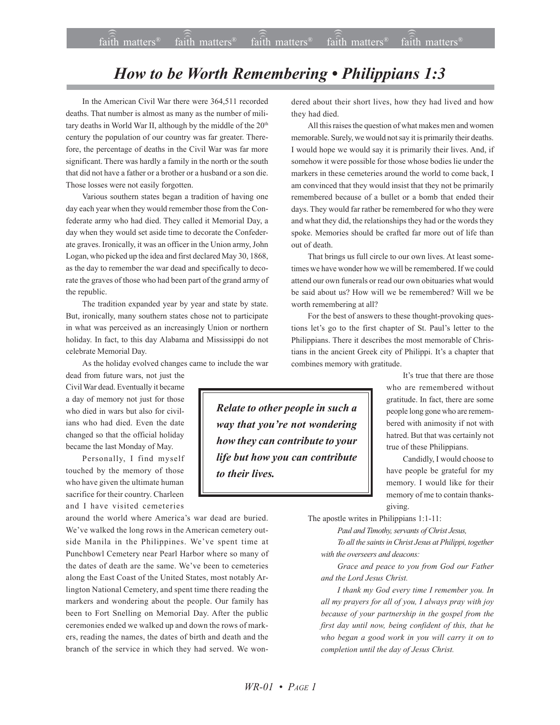## *How to be Worth Remembering • Philippians 1:3*

In the American Civil War there were 364,511 recorded deaths. That number is almost as many as the number of military deaths in World War II, although by the middle of the 20<sup>th</sup> century the population of our country was far greater. Therefore, the percentage of deaths in the Civil War was far more significant. There was hardly a family in the north or the south that did not have a father or a brother or a husband or a son die. Those losses were not easily forgotten.

Various southern states began a tradition of having one day each year when they would remember those from the Confederate army who had died. They called it Memorial Day, a day when they would set aside time to decorate the Confederate graves. Ironically, it was an officer in the Union army, John Logan, who picked up the idea and first declared May 30, 1868, as the day to remember the war dead and specifically to decorate the graves of those who had been part of the grand army of the republic.

The tradition expanded year by year and state by state. But, ironically, many southern states chose not to participate in what was perceived as an increasingly Union or northern holiday. In fact, to this day Alabama and Mississippi do not celebrate Memorial Day.

As the holiday evolved changes came to include the war

dead from future wars, not just the Civil War dead. Eventually it became a day of memory not just for those who died in wars but also for civilians who had died. Even the date changed so that the official holiday became the last Monday of May.

Personally, I find myself touched by the memory of those who have given the ultimate human sacrifice for their country. Charleen and I have visited cemeteries

around the world where America's war dead are buried. We've walked the long rows in the American cemetery outside Manila in the Philippines. We've spent time at Punchbowl Cemetery near Pearl Harbor where so many of the dates of death are the same. We've been to cemeteries along the East Coast of the United States, most notably Arlington National Cemetery, and spent time there reading the markers and wondering about the people. Our family has been to Fort Snelling on Memorial Day. After the public ceremonies ended we walked up and down the rows of markers, reading the names, the dates of birth and death and the branch of the service in which they had served. We wondered about their short lives, how they had lived and how they had died.

All this raises the question of what makes men and women memorable. Surely, we would not say it is primarily their deaths. I would hope we would say it is primarily their lives. And, if somehow it were possible for those whose bodies lie under the markers in these cemeteries around the world to come back, I am convinced that they would insist that they not be primarily remembered because of a bullet or a bomb that ended their days. They would far rather be remembered for who they were and what they did, the relationships they had or the words they spoke. Memories should be crafted far more out of life than out of death.

That brings us full circle to our own lives. At least sometimes we have wonder how we will be remembered. If we could attend our own funerals or read our own obituaries what would be said about us? How will we be remembered? Will we be worth remembering at all?

For the best of answers to these thought-provoking questions let's go to the first chapter of St. Paul's letter to the Philippians. There it describes the most memorable of Christians in the ancient Greek city of Philippi. It's a chapter that combines memory with gratitude.

> It's true that there are those who are remembered without gratitude. In fact, there are some people long gone who are remembered with animosity if not with hatred. But that was certainly not true of these Philippians.

> Candidly, I would choose to have people be grateful for my memory. I would like for their memory of me to contain thanksgiving.

The apostle writes in Philippians 1:1-11:

*Paul and Timothy, servants of Christ Jesus,*

*To all the saints in Christ Jesus at Philippi, together with the overseers and deacons:*

*Grace and peace to you from God our Father and the Lord Jesus Christ.*

*I thank my God every time I remember you. In all my prayers for all of you, I always pray with joy because of your partnership in the gospel from the first day until now, being confident of this, that he who began a good work in you will carry it on to completion until the day of Jesus Christ.*

*Relate to other people in such a way that you're not wondering how they can contribute to your life but how you can contribute to their lives.*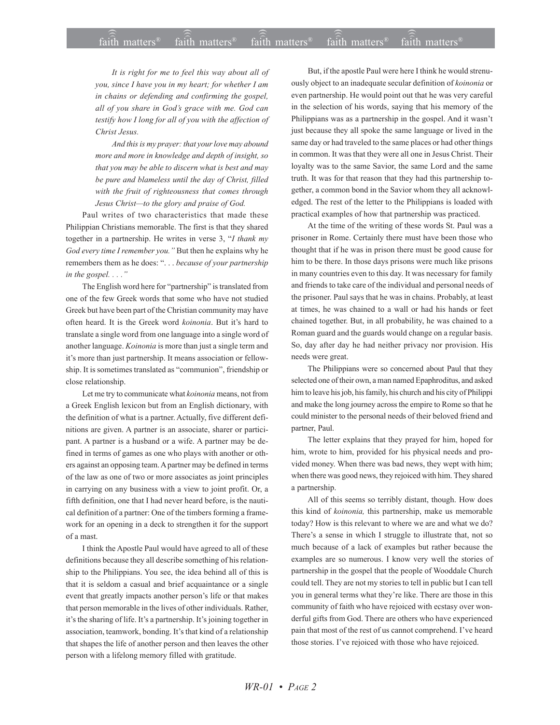*It is right for me to feel this way about all of you, since I have you in my heart; for whether I am in chains or defending and confirming the gospel, all of you share in Godís grace with me. God can testify how I long for all of you with the affection of Christ Jesus.*

*And this is my prayer: that your love may abound more and more in knowledge and depth of insight, so that you may be able to discern what is best and may be pure and blameless until the day of Christ, filled with the fruit of righteousness that comes through* Jesus Christ-to the glory and praise of God.

Paul writes of two characteristics that made these Philippian Christians memorable. The first is that they shared together in a partnership. He writes in verse 3, "I thank my *God every time I remember you.* " But then he explains why he remembers them as he does: "... *because of your partnership in the gospel....*"

The English word here for "partnership" is translated from one of the few Greek words that some who have not studied Greek but have been part of the Christian community may have often heard. It is the Greek word *koinonia*. But it's hard to translate a single word from one language into a single word of another language. *Koinonia* is more than just a single term and it's more than just partnership. It means association or fellowship. It is sometimes translated as "communion", friendship or close relationship.

Let me try to communicate what *koinonia* means, not from a Greek English lexicon but from an English dictionary, with the definition of what is a partner. Actually, five different definitions are given. A partner is an associate, sharer or participant. A partner is a husband or a wife. A partner may be defined in terms of games as one who plays with another or others against an opposing team. A partner may be defined in terms of the law as one of two or more associates as joint principles in carrying on any business with a view to joint profit. Or, a fifth definition, one that I had never heard before, is the nautical definition of a partner: One of the timbers forming a framework for an opening in a deck to strengthen it for the support of a mast.

I think the Apostle Paul would have agreed to all of these definitions because they all describe something of his relationship to the Philippians. You see, the idea behind all of this is that it is seldom a casual and brief acquaintance or a single event that greatly impacts another person's life or that makes that person memorable in the lives of other individuals. Rather, it's the sharing of life. It's a partnership. It's joining together in association, teamwork, bonding. It's that kind of a relationship that shapes the life of another person and then leaves the other person with a lifelong memory filled with gratitude.

But, if the apostle Paul were here I think he would strenuously object to an inadequate secular definition of *koinonia* or even partnership. He would point out that he was very careful in the selection of his words, saying that his memory of the Philippians was as a partnership in the gospel. And it wasn't just because they all spoke the same language or lived in the same day or had traveled to the same places or had other things in common. It was that they were all one in Jesus Christ. Their loyalty was to the same Savior, the same Lord and the same truth. It was for that reason that they had this partnership together, a common bond in the Savior whom they all acknowledged. The rest of the letter to the Philippians is loaded with practical examples of how that partnership was practiced.

At the time of the writing of these words St. Paul was a prisoner in Rome. Certainly there must have been those who thought that if he was in prison there must be good cause for him to be there. In those days prisons were much like prisons in many countries even to this day. It was necessary for family and friends to take care of the individual and personal needs of the prisoner. Paul says that he was in chains. Probably, at least at times, he was chained to a wall or had his hands or feet chained together. But, in all probability, he was chained to a Roman guard and the guards would change on a regular basis. So, day after day he had neither privacy nor provision. His needs were great.

The Philippians were so concerned about Paul that they selected one of their own, a man named Epaphroditus, and asked him to leave his job, his family, his church and his city of Philippi and make the long journey across the empire to Rome so that he could minister to the personal needs of their beloved friend and partner, Paul.

The letter explains that they prayed for him, hoped for him, wrote to him, provided for his physical needs and provided money. When there was bad news, they wept with him; when there was good news, they rejoiced with him. They shared a partnership.

All of this seems so terribly distant, though. How does this kind of *koinonia,* this partnership, make us memorable today? How is this relevant to where we are and what we do? There's a sense in which I struggle to illustrate that, not so much because of a lack of examples but rather because the examples are so numerous. I know very well the stories of partnership in the gospel that the people of Wooddale Church could tell. They are not my stories to tell in public but I can tell you in general terms what they're like. There are those in this community of faith who have rejoiced with ecstasy over wonderful gifts from God. There are others who have experienced pain that most of the rest of us cannot comprehend. I've heard those stories. I've rejoiced with those who have rejoiced.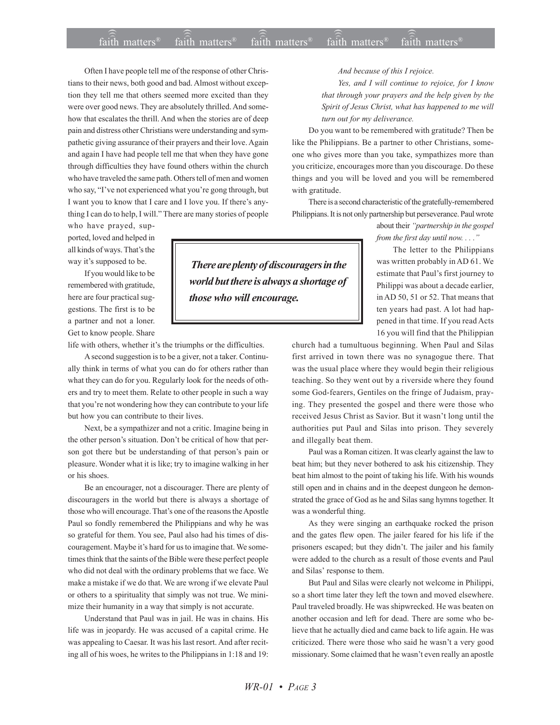## $\widehat{\widehat{\mathfrak{tair}}}$  matters  $^{\circ}$  faith matters faith matters  $^{\circ}$  faith matters faith matters  $^{\circ}$ faith matters<sup>®</sup> faith matters<sup>®</sup> faith matters<sup>®</sup>

Often I have people tell me of the response of other Christians to their news, both good and bad. Almost without exception they tell me that others seemed more excited than they were over good news. They are absolutely thrilled. And somehow that escalates the thrill. And when the stories are of deep pain and distress other Christians were understanding and sympathetic giving assurance of their prayers and their love. Again and again I have had people tell me that when they have gone through difficulties they have found others within the church who have traveled the same path. Others tell of men and women who say, "I've not experienced what you're gong through, but I want you to know that I care and I love you. If there's anything I can do to help, I will." There are many stories of people

who have prayed, supported, loved and helped in all kinds of ways. That's the way it's supposed to be.

If you would like to be remembered with gratitude, here are four practical suggestions. The first is to be a partner and not a loner. Get to know people. Share

life with others, whether it's the triumphs or the difficulties.

A second suggestion is to be a giver, not a taker. Continually think in terms of what you can do for others rather than what they can do for you. Regularly look for the needs of others and try to meet them. Relate to other people in such a way that you're not wondering how they can contribute to your life but how you can contribute to their lives.

Next, be a sympathizer and not a critic. Imagine being in the other person's situation. Don't be critical of how that person got there but be understanding of that person's pain or pleasure. Wonder what it is like; try to imagine walking in her or his shoes.

Be an encourager, not a discourager. There are plenty of discouragers in the world but there is always a shortage of those who will encourage. That's one of the reasons the Apostle Paul so fondly remembered the Philippians and why he was so grateful for them. You see, Paul also had his times of discouragement. Maybe it's hard for us to imagine that. We sometimes think that the saints of the Bible were these perfect people who did not deal with the ordinary problems that we face. We make a mistake if we do that. We are wrong if we elevate Paul or others to a spirituality that simply was not true. We minimize their humanity in a way that simply is not accurate.

Understand that Paul was in jail. He was in chains. His life was in jeopardy. He was accused of a capital crime. He was appealing to Caesar. It was his last resort. And after reciting all of his woes, he writes to the Philippians in 1:18 and 19:

 *There are plenty of discouragers in the world but there is always a shortage of those who will encourage.*

*And because of this I rejoice.*

*Yes, and I will continue to rejoice, for I know that through your prayers and the help given by the Spirit of Jesus Christ, what has happened to me will turn out for my deliverance.*

Do you want to be remembered with gratitude? Then be like the Philippians. Be a partner to other Christians, someone who gives more than you take, sympathizes more than you criticize, encourages more than you discourage. Do these things and you will be loved and you will be remembered with gratitude.

There is a second characteristic of the gratefully-remembered Philippians. It is not only partnership but perseverance. Paul wrote

> about their *ìpartnership in the gospel from the first day until now. . . .î*

The letter to the Philippians was written probably in AD 61. We estimate that Paul's first journey to Philippi was about a decade earlier, in AD 50, 51 or 52. That means that ten years had past. A lot had happened in that time. If you read Acts 16 you will find that the Philippian

church had a tumultuous beginning. When Paul and Silas first arrived in town there was no synagogue there. That was the usual place where they would begin their religious teaching. So they went out by a riverside where they found some God-fearers, Gentiles on the fringe of Judaism, praying. They presented the gospel and there were those who received Jesus Christ as Savior. But it wasn't long until the authorities put Paul and Silas into prison. They severely and illegally beat them.

Paul was a Roman citizen. It was clearly against the law to beat him; but they never bothered to ask his citizenship. They beat him almost to the point of taking his life. With his wounds still open and in chains and in the deepest dungeon he demonstrated the grace of God as he and Silas sang hymns together. It was a wonderful thing.

As they were singing an earthquake rocked the prison and the gates flew open. The jailer feared for his life if the prisoners escaped; but they didn't. The jailer and his family were added to the church as a result of those events and Paul and Silas' response to them.

But Paul and Silas were clearly not welcome in Philippi, so a short time later they left the town and moved elsewhere. Paul traveled broadly. He was shipwrecked. He was beaten on another occasion and left for dead. There are some who believe that he actually died and came back to life again. He was criticized. There were those who said he wasn't a very good missionary. Some claimed that he wasn't even really an apostle